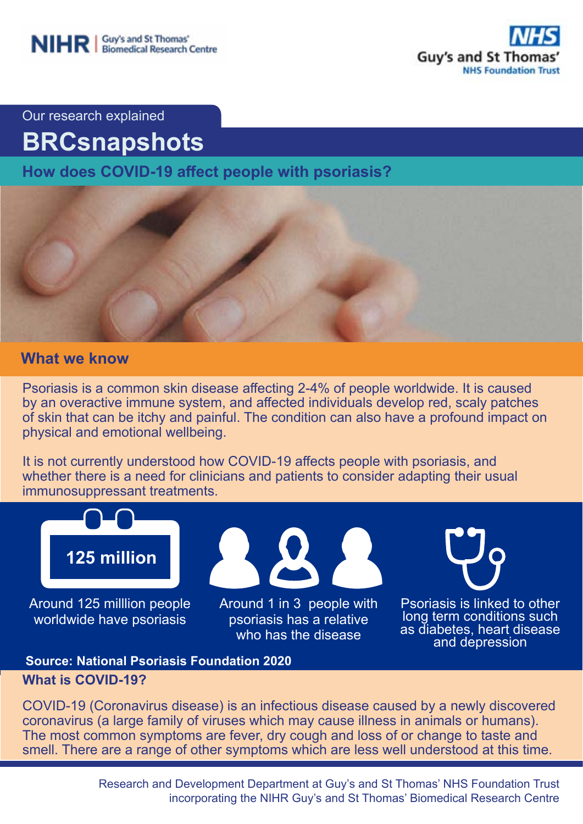

Our research explained

# **BRCsnapshots**

**How does COVID-19 affect people with psoriasis?**



# **What we know**

Psoriasis is a common skin disease affecting 2-4% of people worldwide. It is caused by an overactive immune system, and affected individuals develop red, scaly patches of skin that can be itchy and painful. The condition can also have a profound impact on physical and emotional wellbeing.

It is not currently understood how COVID-19 affects people with psoriasis, and whether there is a need for clinicians and patients to consider adapting their usual immunosuppressant treatments.



### **What is COVID-19? Source: National Psoriasis Foundation 2020**

COVID-19 (Coronavirus disease) is an infectious disease caused by a newly discovered coronavirus (a large family of viruses which may cause illness in animals or humans). The most common symptoms are fever, dry cough and loss of or change to taste and smell. There are a range of other symptoms which are less well understood at this time.

> Research and Development Department at Guy's and St Thomas' NHS Foundation Trust incorporating the NIHR Guy's and St Thomas' Biomedical Research Centre